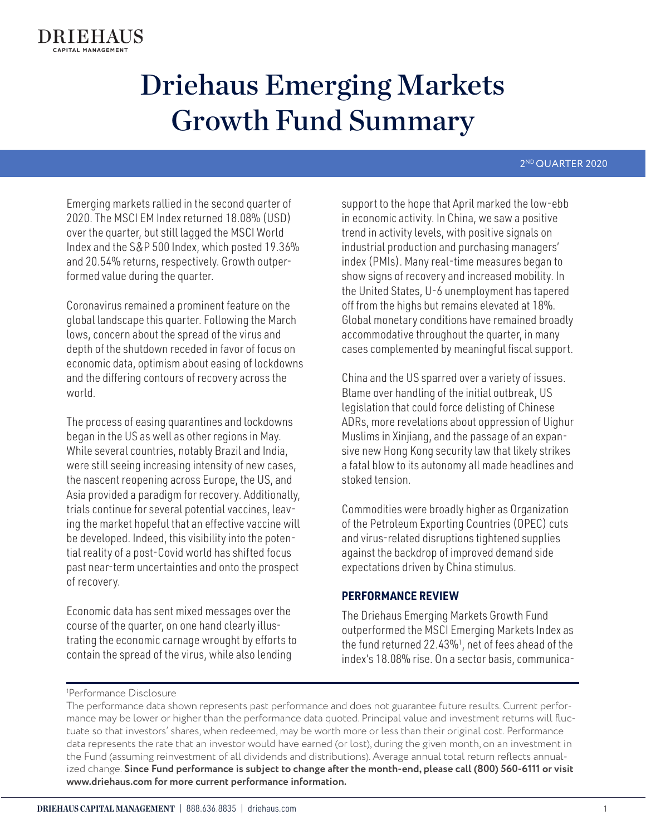#### 2ND QUARTER 2020

Emerging markets rallied in the second quarter of 2020. The MSCI EM Index returned 18.08% (USD) over the quarter, but still lagged the MSCI World Index and the S&P 500 Index, which posted 19.36% and 20.54% returns, respectively. Growth outperformed value during the quarter.

Coronavirus remained a prominent feature on the global landscape this quarter. Following the March lows, concern about the spread of the virus and depth of the shutdown receded in favor of focus on economic data, optimism about easing of lockdowns and the differing contours of recovery across the world.

The process of easing quarantines and lockdowns began in the US as well as other regions in May. While several countries, notably Brazil and India, were still seeing increasing intensity of new cases, the nascent reopening across Europe, the US, and Asia provided a paradigm for recovery. Additionally, trials continue for several potential vaccines, leaving the market hopeful that an effective vaccine will be developed. Indeed, this visibility into the potential reality of a post-Covid world has shifted focus past near-term uncertainties and onto the prospect of recovery.

Economic data has sent mixed messages over the course of the quarter, on one hand clearly illustrating the economic carnage wrought by efforts to contain the spread of the virus, while also lending

support to the hope that April marked the low-ebb in economic activity. In China, we saw a positive trend in activity levels, with positive signals on industrial production and purchasing managers' index (PMIs). Many real-time measures began to show signs of recovery and increased mobility. In the United States, U-6 unemployment has tapered off from the highs but remains elevated at 18%. Global monetary conditions have remained broadly accommodative throughout the quarter, in many cases complemented by meaningful fiscal support.

China and the US sparred over a variety of issues. Blame over handling of the initial outbreak, US legislation that could force delisting of Chinese ADRs, more revelations about oppression of Uighur Muslims in Xinjiang, and the passage of an expansive new Hong Kong security law that likely strikes a fatal blow to its autonomy all made headlines and stoked tension.

Commodities were broadly higher as Organization of the Petroleum Exporting Countries (OPEC) cuts and virus-related disruptions tightened supplies against the backdrop of improved demand side expectations driven by China stimulus.

### **PERFORMANCE REVIEW**

The Driehaus Emerging Markets Growth Fund outperformed the MSCI Emerging Markets Index as the fund returned 22.43%1 , net of fees ahead of the index's 18.08% rise. On a sector basis, communica-

#### 1 Performance Disclosure

The performance data shown represents past performance and does not guarantee future results. Current performance may be lower or higher than the performance data quoted. Principal value and investment returns will fluctuate so that investors' shares, when redeemed, may be worth more or less than their original cost. Performance data represents the rate that an investor would have earned (or lost), during the given month, on an investment in the Fund (assuming reinvestment of all dividends and distributions). Average annual total return reflects annualized change. **Since Fund performance is subject to change after the month-end, please call (800) 560-6111 or visit www.driehaus.com for more current performance information.**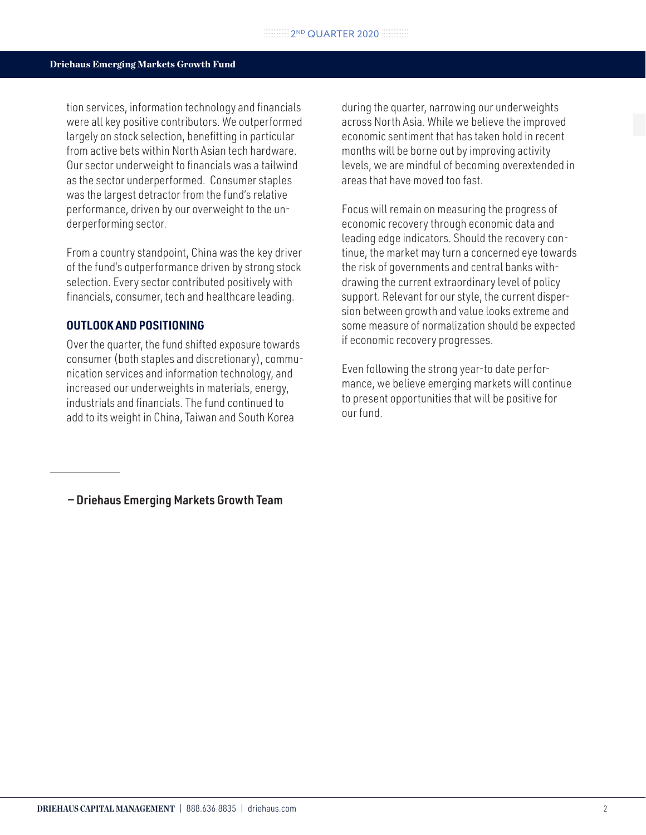tion services, information technology and financials were all key positive contributors. We outperformed largely on stock selection, benefitting in particular from active bets within North Asian tech hardware. Our sector underweight to financials was a tailwind as the sector underperformed. Consumer staples was the largest detractor from the fund's relative performance, driven by our overweight to the underperforming sector.

From a country standpoint, China was the key driver of the fund's outperformance driven by strong stock selection. Every sector contributed positively with financials, consumer, tech and healthcare leading.

### **OUTLOOK AND POSITIONING**

Over the quarter, the fund shifted exposure towards consumer (both staples and discretionary), communication services and information technology, and increased our underweights in materials, energy, industrials and financials. The fund continued to add to its weight in China, Taiwan and South Korea

during the quarter, narrowing our underweights across North Asia. While we believe the improved economic sentiment that has taken hold in recent months will be borne out by improving activity levels, we are mindful of becoming overextended in areas that have moved too fast.

Focus will remain on measuring the progress of economic recovery through economic data and leading edge indicators. Should the recovery continue, the market may turn a concerned eye towards the risk of governments and central banks withdrawing the current extraordinary level of policy support. Relevant for our style, the current dispersion between growth and value looks extreme and some measure of normalization should be expected if economic recovery progresses.

Even following the strong year-to date performance, we believe emerging markets will continue to present opportunities that will be positive for our fund.

— Driehaus Emerging Markets Growth Team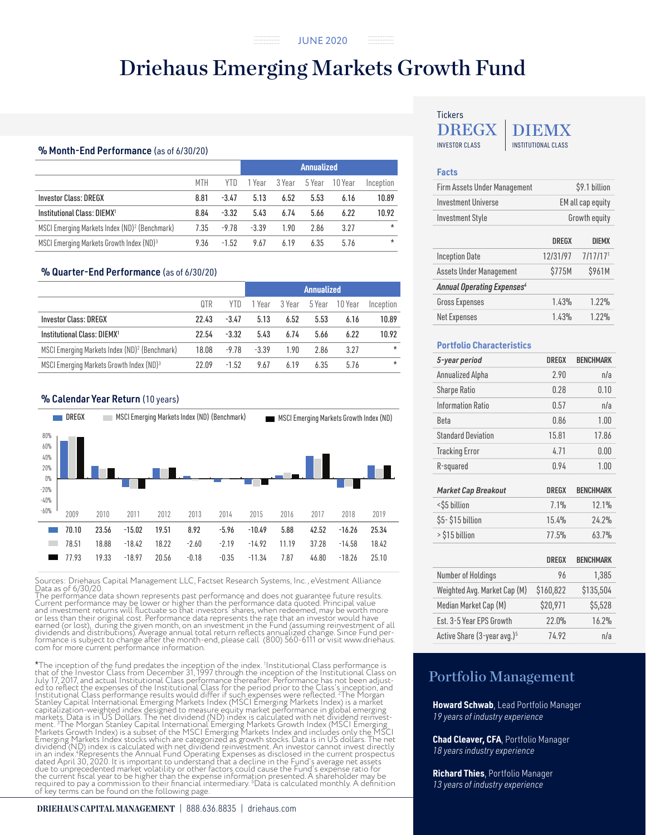JUNE 2020 --------------<br>--------------

## Driehaus Emerging Markets Growth Fund

. . . . . . . . . . . . . . . .

#### % Month-End Performance (as of 6/30/20)

|                                                           |      |         | <b>Annualized</b> |        |        |         |           |  |
|-----------------------------------------------------------|------|---------|-------------------|--------|--------|---------|-----------|--|
|                                                           | MTH  | YTD     | 1 Year            | 3 Year | 5 Year | 10 Year | Inception |  |
| <b>Investor Class: DREGX</b>                              | 8.81 | $-3.47$ | 5.13              | 6.52   | 5.53   | 6.16    | 10.89     |  |
| Institutional Class: DIEMX <sup>1</sup>                   | 8.84 | $-3.32$ | 5.43              | 6.74   | 5.66   | 6.22    | 10.92     |  |
| MSCI Emerging Markets Index (ND) <sup>2</sup> (Benchmark) | 7.35 | -9.78   | $-3.39$           | 1.90   | 2.86   | 3.27    | $\star$   |  |
| MSCI Emerging Markets Growth Index (ND)3                  | 9.36 | $-1.52$ | 9.67              | 6.19   | 6.35   | 5.76    | $\star$   |  |

#### % Quarter-End Performance (as of 6/30/20)

|                                                           |       |         | <b>Annualized</b> |        |        |         |           |  |
|-----------------------------------------------------------|-------|---------|-------------------|--------|--------|---------|-----------|--|
|                                                           | QTR   | YTD     | 1 Year            | 3 Year | 5 Year | 10 Year | Inception |  |
| <b>Investor Class: DREGX</b>                              | 22.43 | $-3.47$ | 5.13              | 6.52   | 5.53   | 6.16    | 10.89     |  |
| Institutional Class: DIEMX1                               | 22.54 | $-3.32$ | 5.43              | 6.74   | 5.66   | 6.22    | 10.92     |  |
| MSCI Emerging Markets Index (ND) <sup>2</sup> (Benchmark) | 18.08 | $-9.78$ | $-3.39$           | 1.90   | 2.86   | 3.27    | $\star$   |  |
| MSCI Emerging Markets Growth Index (ND) <sup>3</sup>      | 22.09 | $-1.52$ | 9.67              | 6.19   | 6.35   | 5.76    | $\star$   |  |

#### % Calendar Year Return (10 years)



Sources: Driehaus Capital Management LLC, Factset Research Systems, Inc., eVestment Alliance Data as of  $6/30/20$ .

The performance data shown represents past performance and does not guarantee future results. Current performance may be lower or higher than the performance data quoted. Principal value<br>and investment returns will fluctuate so that investors' shares, when redeemed, may be worth more<br>or less than their original cos earned (or lost), during the given month, on an investment in the Fund (assuming reinvestment of all<br>dividends and distributions). Average annual total return reflects annualized change. Since Fund per-<br>formance is subject com for more current performance information.

\*The inception of the fund predates the inception of the index. 1 Institutional Class performance is that of the Investor Class from December 31, 1997 through the inception of the Institutional Class on July 17, 2017, and actual Institutional Class performance thereafter. Performance has not been adjusted to reflect the expenses of the Institutional Class for the period prior to the Class' sinception, and Institutional Cl

#### **DRIEHAUS CAPITAL MANAGEMENT** | 888.636.8835 | driehaus.com

#### DREGX INVESTOR CLASS **INSTITUTIONAL CLASS** DIEMX **Tickers**

#### **Facts**

| Firm Assets Under Management                 | \$9.1 billion     |                      |  |  |  |
|----------------------------------------------|-------------------|----------------------|--|--|--|
| <b>Investment Universe</b>                   | EM all cap equity |                      |  |  |  |
| <b>Investment Style</b>                      | Growth equity     |                      |  |  |  |
|                                              | <b>DREGX</b>      | <b>DIEMX</b>         |  |  |  |
| <b>Inception Date</b>                        | 12/31/97          | 7/17/17 <sup>1</sup> |  |  |  |
| Assets Under Management                      | \$775M            | \$961M               |  |  |  |
| <b>Annual Operating Expenses<sup>4</sup></b> |                   |                      |  |  |  |
| <b>Gross Expenses</b>                        | 1.43%             | 1.22%                |  |  |  |
| <b>Net Expenses</b>                          | 1.43%             | 1.22%                |  |  |  |

#### **Portfolio Characteristics**

| 5-year period                | <b>DREGX</b> | <b>BENCHMARK</b> |
|------------------------------|--------------|------------------|
| Annualized Alpha             | 2.90         | n/a              |
| Sharpe Ratio                 | 0.28         | 0.10             |
| <b>Information Ratio</b>     | 0.57         | n/a              |
| <b>Beta</b>                  | 0.86         | 1.00             |
| <b>Standard Deviation</b>    | 15.81        | 17.86            |
| <b>Tracking Error</b>        | 4.71         | 0.00             |
| R-squared                    | 0.94         | 1.00             |
| <b>Market Cap Breakout</b>   | <b>DREGX</b> | <b>BENCHMARK</b> |
| <\$5 billion                 | 7.1%         | 12.1%            |
| \$5-\$15 billion             | 15.4%        | 24.2%            |
| > \$15 billion               | 77.5%        | 63.7%            |
|                              | <b>DREGX</b> | <b>BENCHMARK</b> |
| Number of Holdings           | 96           | 1,385            |
| Weighted Avg. Market Cap (M) | \$160,822    | \$135,504        |
| Median Market Cap (M)        | \$20,971     | \$5,528          |
| Est. 3-5 Year EPS Growth     | 22.0%        | 16.2%            |

Active Share (3-year avg.)<sup>5</sup> 74.92 n/a

## Portfolio Management

**Howard Schwab**, Lead Portfolio Manager *19 years of industry experience*

**Chad Cleaver, CFA**, Portfolio Manager *18 years industry experience*

**Richard Thies**, Portfolio Manager *13 years of industry experience*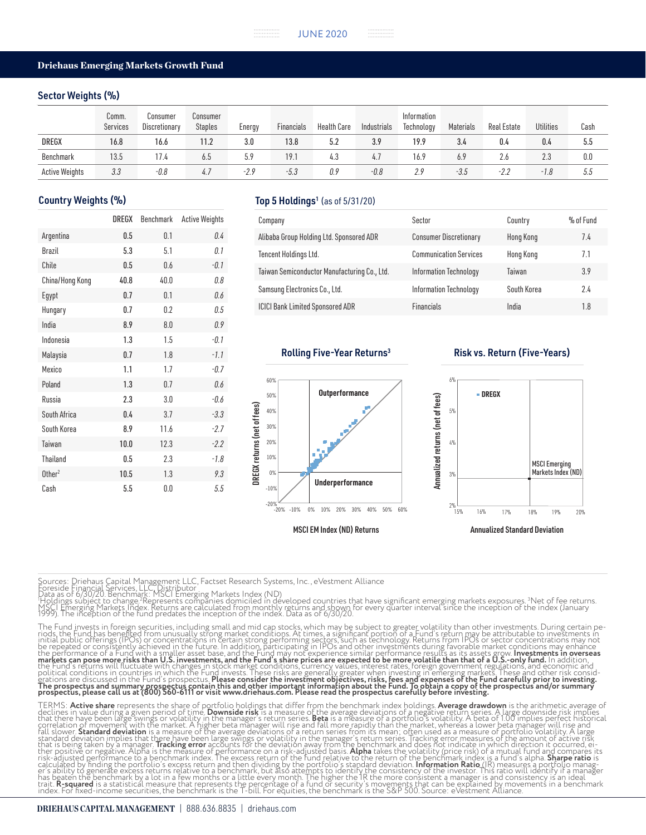#### Sector Weights (%)

|                       | Comm.<br>Services | Consumer<br>Discretionary | Consumer<br><b>Staples</b> | Energy | Financials | Health Care | Industrials | Information<br>Technology | Materials | <b>Real Estate</b> | <b>Utilities</b> | Cash |
|-----------------------|-------------------|---------------------------|----------------------------|--------|------------|-------------|-------------|---------------------------|-----------|--------------------|------------------|------|
| <b>DREGX</b>          | 16.8              | 16.6                      | 11.2                       | 3.0    | 13.8       | 5.2         | 3.9         | 19.9 <sub>1</sub>         | 3.4       | 0.4                | 0.4              | 5.5  |
| Benchmark             | 13.5              | 17.4                      | 6.5                        | 5.9    | 19.1       | 4.3         | 4.7         | 16.9                      | 6.9       | 2.6                | 2.3              | 0.0  |
| <b>Active Weights</b> | 3.3               | -0.8                      | 4.7                        | -2.9   | $-5.3$     | 0.9         | $-0.8$      | 2.9                       | $-3.5$    | -2.2               | -1.8             | 5.5  |

|                    | <b>DREGX</b> | Benchmark | <b>Active Weights</b> |
|--------------------|--------------|-----------|-----------------------|
| Argentina          | 0.5          | 0.1       | 0.4                   |
| Brazil             | 5.3          | 5.1       | 0.1                   |
| Chile              | 0.5          | 0.6       | $-0.1$                |
| China/Hong Kong    | 40.8         | 40.0      | 0.8                   |
| Egypt              | 0.7          | 0.1       | 0.6                   |
| Hungary            | 0.7          | 0.2       | 0.5                   |
| India              | 8.9          | 8.0       | 0.9                   |
| Indonesia          | 1.3          | 1.5       | $-0.1$                |
| Malaysia           | 0.7          | 1.8       | $-1.1$                |
| Mexico             | 1.1          | 1.7       | $-0.7$                |
| Poland             | 1.3          | 0.7       | 0.6                   |
| Russia             | 2.3          | 3.0       | $-0.6$                |
| South Africa       | 0.4          | 3.7       | $-3.3$                |
| South Korea        | 8.9          | 11.6      | $-2.7$                |
| Taiwan             | 10.0         | 12.3      | $-2.2$                |
| <b>Thailand</b>    | 0.5          | 2.3       | $-1.8$                |
| Other <sup>2</sup> | 10.5         | 1.3       | 9.3                   |
| Cash               | 5.5          | 0.0       | 5.5                   |

#### Country Weights (%) Country Weights (%)

| Company                                      | Sector                        | Country     | % of Fund |
|----------------------------------------------|-------------------------------|-------------|-----------|
| Alibaba Group Holding Ltd. Sponsored ADR     | <b>Consumer Discretionary</b> | Hong Kong   | 7.4       |
| Tencent Holdings Ltd.                        | <b>Communication Services</b> | Hong Kong   | 7.1       |
| Taiwan Semiconductor Manufacturing Co., Ltd. | Information Technology        | Taiwan      | 3.9       |
| Samsung Electronics Co., Ltd.                | Information Technology        | South Korea | 2.4       |
| <b>ICICI Bank Limited Sponsored ADR</b>      | <b>Financials</b>             | India       | 1.8       |



#### Rolling Five-Year Returns<sup>3</sup> Risk vs. Return (Five-Years)



Sources: Driehaus Capital Management LLC, Factset Research Systems, Inc., eVestment Alliance<br>Foreside Financial Services, LLC, Distributor<br>"Data as of 6/30/20. Benchmark: MSCI Emerging Markets Index (ND)<br>"Holdings subject

The Fund invests in foreign securities, including small and mid cap stocks, which may be subject to greater volatility than other investments. During certain periods, the Fund has been to determine the different particular political conditions in countries in which the Fund invests. These risks are generally greater when investing in emerging markets. These and other risk consid-<br>erations are discussed in the Fund's prospectus. **Please consi** 

TERMS: **Active share** represents the share of portfolio holdings that differ from the benchmark index holdings. **Average drawdown** is the arithmetic average of<br>declines in value during a given period of time. **Downside ris** fall slower. **Standard deviation** is a measure of the average deviations of a return series from its mean; often used as a measure of portfolio volatility. A large<br>standard deviation implies that there have been large swin that is being taken by a manager. **Tracking error** accounts for the deviation away from the benchmark and does not indicate in which direction it occurred, ei<br>ther positive or negative. Alpha is the measure of performance calculated by finding the portfolio's excess return and then dividing by the portfolio's standard deviation. **Information Ratio** (IR) measures'a portfolio manag-<br>er's ability to generate excess returns relative to a benchm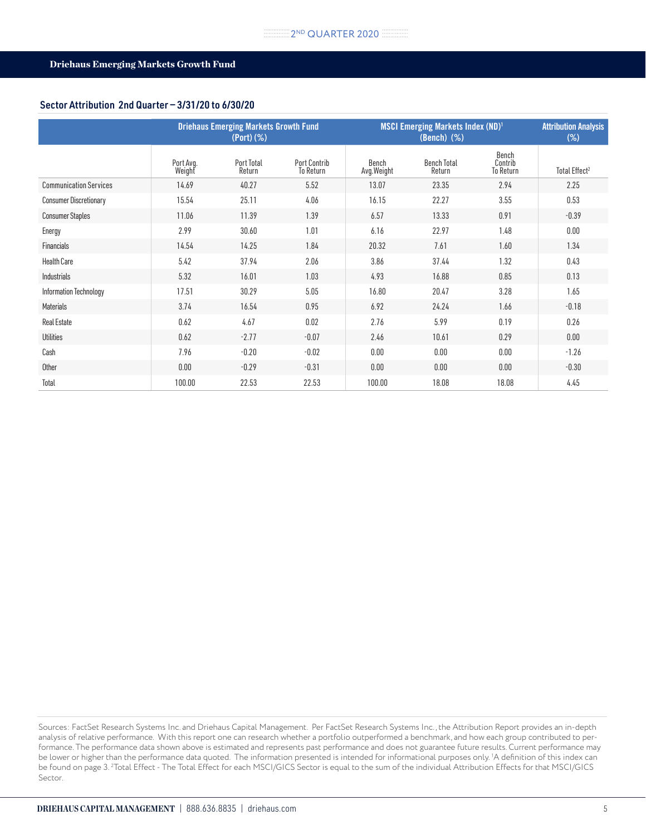#### Sector Attribution 2nd Quarter — 3/31/20 to 6/30/20

|                               |                     | <b>Driehaus Emerging Markets Growth Fund</b><br>(Port)(%) |                                  | <b>MSCI Emerging Markets Index (ND)<sup>1</sup></b> | <b>Attribution Analysis</b><br>$(\%)$ |                               |                           |
|-------------------------------|---------------------|-----------------------------------------------------------|----------------------------------|-----------------------------------------------------|---------------------------------------|-------------------------------|---------------------------|
|                               | Port Avg.<br>Weight | Port Total<br>Return                                      | <b>Port Contrib</b><br>To Return | Bench<br>Avg. Weight                                | <b>Bench Total</b><br>Return          | Bench<br>Contrib<br>To Return | Total Effect <sup>2</sup> |
| <b>Communication Services</b> | 14.69               | 40.27                                                     | 5.52                             | 13.07                                               | 23.35                                 | 2.94                          | 2.25                      |
| <b>Consumer Discretionary</b> | 15.54               | 25.11                                                     | 4.06                             | 16.15                                               | 22.27                                 | 3.55                          | 0.53                      |
| <b>Consumer Staples</b>       | 11.06               | 11.39                                                     | 1.39                             | 6.57                                                | 13.33                                 | 0.91                          | $-0.39$                   |
| Energy                        | 2.99                | 30.60                                                     | 1.01                             | 6.16                                                | 22.97                                 | 1.48                          | 0.00                      |
| Financials                    | 14.54               | 14.25                                                     | 1.84                             | 20.32                                               | 7.61                                  | 1.60                          | 1.34                      |
| <b>Health Care</b>            | 5.42                | 37.94                                                     | 2.06                             | 3.86                                                | 37.44                                 | 1.32                          | 0.43                      |
| Industrials                   | 5.32                | 16.01                                                     | 1.03                             | 4.93                                                | 16.88                                 | 0.85                          | 0.13                      |
| Information Technology        | 17.51               | 30.29                                                     | 5.05                             | 16.80                                               | 20.47                                 | 3.28                          | 1.65                      |
| Materials                     | 3.74                | 16.54                                                     | 0.95                             | 6.92                                                | 24.24                                 | 1.66                          | $-0.18$                   |
| <b>Real Estate</b>            | 0.62                | 4.67                                                      | 0.02                             | 2.76                                                | 5.99                                  | 0.19                          | 0.26                      |
| <b>Utilities</b>              | 0.62                | $-2.77$                                                   | $-0.07$                          | 2.46                                                | 10.61                                 | 0.29                          | 0.00                      |
| Cash                          | 7.96                | $-0.20$                                                   | $-0.02$                          | 0.00                                                | 0.00                                  | 0.00                          | $-1.26$                   |
| Other                         | 0.00                | $-0.29$                                                   | $-0.31$                          | 0.00                                                | 0.00                                  | 0.00                          | $-0.30$                   |
| Total                         | 100.00              | 22.53                                                     | 22.53                            | 100.00                                              | 18.08                                 | 18.08                         | 4.45                      |

Sources: FactSet Research Systems Inc. and Driehaus Capital Management. Per FactSet Research Systems Inc., the Attribution Report provides an in-depth analysis of relative performance. With this report one can research whether a portfolio outperformed a benchmark, and how each group contributed to performance. The performance data shown above is estimated and represents past performance and does not guarantee future results. Current performance may be lower or higher than the performance data quoted. The information presented is intended for informational purposes only. 1 A definition of this index can be found on page 3. <sup>2</sup>Total Effect - The Total Effect for each MSCI/GICS Sector is equal to the sum of the individual Attribution Effects for that MSCI/GICS Sector.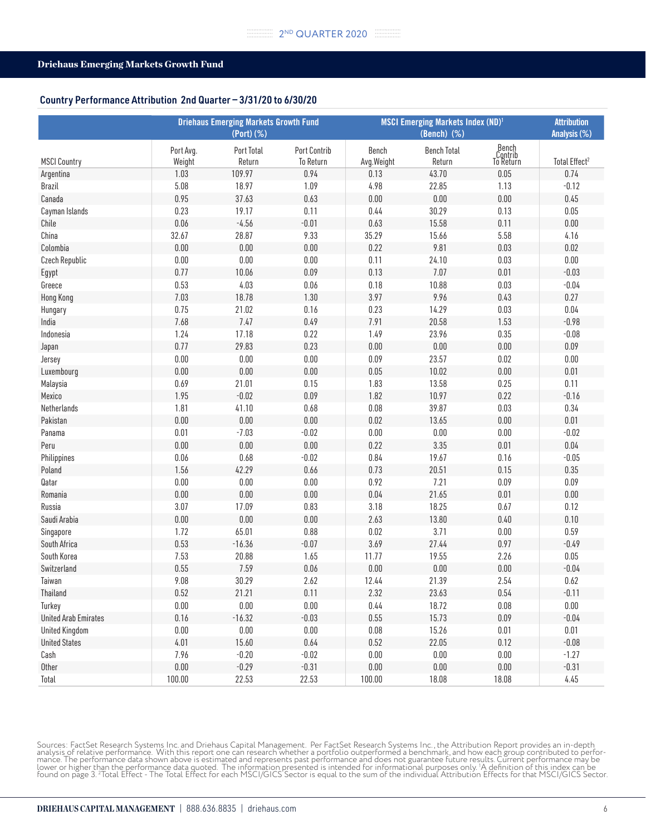#### Country Performance Attribution 2nd Quarter — 3/31/20 to 6/30/20

|                             | <b>Driehaus Emerging Markets Growth Fund</b><br>(Port) (%) |                      |                           | <b>MSCI Emerging Markets Index (ND)1</b> | <b>Attribution</b><br>Analysis (%) |                               |                           |
|-----------------------------|------------------------------------------------------------|----------------------|---------------------------|------------------------------------------|------------------------------------|-------------------------------|---------------------------|
| <b>MSCI Country</b>         | Port Avg.<br>Weight                                        | Port Total<br>Return | Port Contrib<br>To Return | Bench<br>Avg.Weight                      | <b>Bench Total</b><br>Return       | Bench<br>Contrib<br>To Return | Total Effect <sup>2</sup> |
| Argentina                   | 1.03                                                       | 109.97               | 0.94                      | 0.13                                     | 43.70                              | 0.05                          | 0.74                      |
| <b>Brazil</b>               | 5.08                                                       | 18.97                | 1.09                      | 4.98                                     | 22.85                              | 1.13                          | $-0.12$                   |
| Canada                      | 0.95                                                       | 37.63                | 0.63                      | 0.00                                     | $0.00\,$                           | $0.00\,$                      | 0.45                      |
| Cayman Islands              | 0.23                                                       | 19.17                | 0.11                      | 0.44                                     | 30.29                              | 0.13                          | $0.05\,$                  |
| Chile                       | 0.06                                                       | $-4.56$              | $-0.01$                   | 0.63                                     | 15.58                              | 0.11                          | $0.00\,$                  |
| China                       | 32.67                                                      | 28.87                | 9.33                      | 35.29                                    | 15.66                              | 5.58                          | 4.16                      |
| Colombia                    | 0.00                                                       | 0.00                 | $0.00\,$                  | 0.22                                     | 9.81                               | 0.03                          | 0.02                      |
| Czech Republic              | 0.00                                                       | $0.00\,$             | $0.00\,$                  | 0.11                                     | 24.10                              | 0.03                          | $0.00\,$                  |
| Egypt                       | 0.77                                                       | 10.06                | 0.09                      | 0.13                                     | 7.07                               | 0.01                          | $-0.03$                   |
| Greece                      | 0.53                                                       | 4.03                 | $0.06\,$                  | 0.18                                     | 10.88                              | 0.03                          | $-0.04$                   |
| <b>Hong Kong</b>            | 7.03                                                       | 18.78                | 1.30                      | 3.97                                     | 9.96                               | 0.43                          | 0.27                      |
| Hungary                     | 0.75                                                       | 21.02                | 0.16                      | 0.23                                     | 14.29                              | 0.03                          | $0.04\,$                  |
| India                       | 7.68                                                       | 7.47                 | 0.49                      | 7.91                                     | 20.58                              | 1.53                          | $-0.98$                   |
| Indonesia                   | 1.24                                                       | 17.18                | 0.22                      | 1.49                                     | 23.96                              | 0.35                          | $-0.08$                   |
| Japan                       | 0.77                                                       | 29.83                | 0.23                      | 0.00                                     | $0.00\,$                           | $0.00\,$                      | 0.09                      |
| Jersey                      | 0.00                                                       | $0.00\,$             | $0.00\,$                  | 0.09                                     | 23.57                              | 0.02                          | $0.00\,$                  |
| Luxembourg                  | 0.00                                                       | $0.00\,$             | $0.00\,$                  | 0.05                                     | 10.02                              | $0.00\,$                      | 0.01                      |
| Malaysia                    | 0.69                                                       | 21.01                | 0.15                      | 1.83                                     | 13.58                              | 0.25                          | 0.11                      |
| Mexico                      | 1.95                                                       | $-0.02$              | 0.09                      | 1.82                                     | 10.97                              | 0.22                          | $-0.16$                   |
| Netherlands                 | 1.81                                                       | 41.10                | 0.68                      | 0.08                                     | 39.87                              | 0.03                          | 0.34                      |
| Pakistan                    | 0.00                                                       | $0.00\,$             | $0.00\,$                  | 0.02                                     | 13.65                              | $0.00\,$                      | 0.01                      |
| Panama                      | 0.01                                                       | $-7.03$              | $-0.02$                   | 0.00                                     | 0.00                               | $0.00\,$                      | $-0.02$                   |
| Peru                        | 0.00                                                       | $0.00\,$             | 0.00                      | 0.22                                     | 3.35                               | 0.01                          | $0.04\,$                  |
| Philippines                 | 0.06                                                       | 0.68                 | $-0.02$                   | 0.84                                     | 19.67                              | 0.16                          | $-0.05$                   |
| Poland                      | 1.56                                                       | 42.29                | 0.66                      | 0.73                                     | 20.51                              | 0.15                          | 0.35                      |
| Qatar                       | 0.00                                                       | $0.00\,$             | $0.00\,$                  | 0.92                                     | 7.21                               | 0.09                          | 0.09                      |
| Romania                     | 0.00                                                       | 0.00                 | $0.00\,$                  | 0.04                                     | 21.65                              | 0.01                          | $0.00\,$                  |
| Russia                      | 3.07                                                       | 17.09                | 0.83                      | 3.18                                     | 18.25                              | 0.67                          | 0.12                      |
| Saudi Arabia                | 0.00                                                       | $0.00\,$             | $0.00\,$                  | 2.63                                     | 13.80                              | 0.40                          | 0.10                      |
| Singapore                   | 1.72                                                       | 65.01                | 0.88                      | 0.02                                     | 3.71                               | $0.00\,$                      | 0.59                      |
| South Africa                | 0.53                                                       | $-16.36$             | $-0.07$                   | 3.69                                     | 27.44                              | 0.97                          | $-0.49$                   |
| South Korea                 | 7.53                                                       | 20.88                | 1.65                      | 11.77                                    | 19.55                              | 2.26                          | $0.05\,$                  |
| Switzerland                 | 0.55                                                       | 7.59                 | 0.06                      | 0.00                                     | 0.00                               | $0.00\,$                      | $-0.04$                   |
| Taiwan                      | 9.08                                                       | 30.29                | 2.62                      | 12.44                                    | 21.39                              | 2.54                          | 0.62                      |
| Thailand                    | 0.52                                                       | 21.21                | 0.11                      | 2.32                                     | 23.63                              | $0.54\,$                      | $-0.11$                   |
| Turkey                      | $0.00\,$                                                   | $0.00\,$             | $0.00\,$                  | 0.44                                     | 18.72                              | $0.08\,$                      | $0.00\,$                  |
| <b>United Arab Emirates</b> | 0.16                                                       | $-16.32$             | $-0.03$                   | $0.55\,$                                 | 15.73                              | 0.09                          | $-0.04$                   |
| <b>United Kingdom</b>       | 0.00                                                       | 0.00                 | $0.00\,$                  | $0.08\,$                                 | 15.26                              | 0.01                          | 0.01                      |
| <b>United States</b>        | 4.01                                                       | 15.60                | 0.64                      | 0.52                                     | 22.05                              | 0.12                          | $-0.08$                   |
| Cash                        | 7.96                                                       | $-0.20$              | $-0.02$                   | $0.00\,$                                 | 0.00                               | $0.00\,$                      | $-1.27$                   |
| Other                       | $0.00\,$                                                   | $-0.29$              | $-0.31$                   | $0.00\,$                                 | $0.00\,$                           | $0.00\,$                      | $-0.31$                   |
| Total                       | 100.00                                                     | 22.53                | 22.53                     | 100.00                                   | 18.08                              | 18.08                         | 4.45                      |

Sources: FactSet Research Systems Inc. and Driehaus Capital Management. Per FactSet Research Systems Inc., the Attribution Report provides an in-depth<br>analysis of relative performance. With this report one can research whe